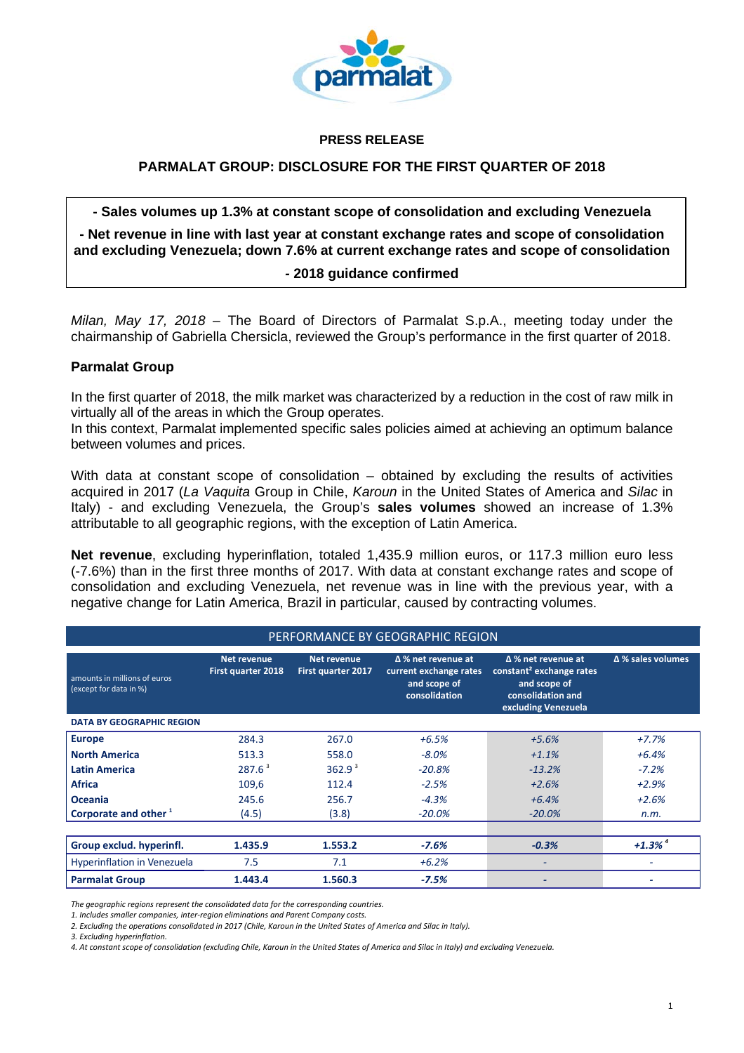

#### **PRESS RELEASE**

# **PARMALAT GROUP: DISCLOSURE FOR THE FIRST QUARTER OF 2018**

#### **- Sales volumes up 1.3% at constant scope of consolidation and excluding Venezuela**

**- Net revenue in line with last year at constant exchange rates and scope of consolidation and excluding Venezuela; down 7.6% at current exchange rates and scope of consolidation** 

## *-* **2018 guidance confirmed**

*Milan, May 17, 2018* – The Board of Directors of Parmalat S.p.A., meeting today under the chairmanship of Gabriella Chersicla, reviewed the Group's performance in the first quarter of 2018.

## **Parmalat Group**

In the first quarter of 2018, the milk market was characterized by a reduction in the cost of raw milk in virtually all of the areas in which the Group operates.

In this context, Parmalat implemented specific sales policies aimed at achieving an optimum balance between volumes and prices.

With data at constant scope of consolidation – obtained by excluding the results of activities acquired in 2017 (*La Vaquita* Group in Chile, *Karoun* in the United States of America and *Silac* in Italy) - and excluding Venezuela, the Group's **sales volumes** showed an increase of 1.3% attributable to all geographic regions, with the exception of Latin America.

**Net revenue**, excluding hyperinflation, totaled 1,435.9 million euros, or 117.3 million euro less (-7.6%) than in the first three months of 2017. With data at constant exchange rates and scope of consolidation and excluding Venezuela, net revenue was in line with the previous year, with a negative change for Latin America, Brazil in particular, caused by contracting volumes.

#### PERFORMANCE BY GEOGRAPHIC REGION amounts in millions of euros (except for data in %) **Net revenue First quarter 2018 Net revenue First quarter 2017 ∆ % net revenue at current exchange rates constant² exchange rates and scope of consolidation ∆ % net revenue at and scope of consolidation and excluding Venezuela ∆ % sales volumes DATA BY GEOGRAPHIC REGION Europe** 284.3 267.0 *+6.5% +5.6% +7.7%* **North America** 513.3 558.0 *‐8.0% +1.1% +6.4%* **Latin America**  287.6 <sup>3</sup> 362.9 <sup>3</sup> *‐20.8% ‐13.2% ‐7.2%* **Africa** 109,6 112.4 *‐2.5% +2.6% +2.9%* **Oceania** 245.6 256.7 *‐4.3% +6.4% +2.6%* **Corporate and other <sup>1</sup>** (4.5) (3.8) *‐20.0% ‐20.0% n.m.*

| Group exclud. hyperinfl.    | 1.435.9 | 1.553.2 | $-7.6%$ | $-0.3%$ | $+1.3\%$ <sup>4</sup> |
|-----------------------------|---------|---------|---------|---------|-----------------------|
| Hyperinflation in Venezuela |         |         | $+6.2%$ |         |                       |
| <b>Parmalat Group</b>       | 1.443.4 | 1.560.3 | $-7.5%$ |         |                       |

*The geographic regions represent the consolidated data for the corresponding countries.*

*1. Includes smaller companies, inter‐region eliminations and Parent Company costs.*

2. Excluding the operations consolidated in 2017 (Chile, Karoun in the United States of America and Silac in Italy).

*3. Excluding hyperinflation.*

4. At constant scope of consolidation (excluding Chile, Karoun in the United States of America and Silac in Italy) and excluding Venezuela.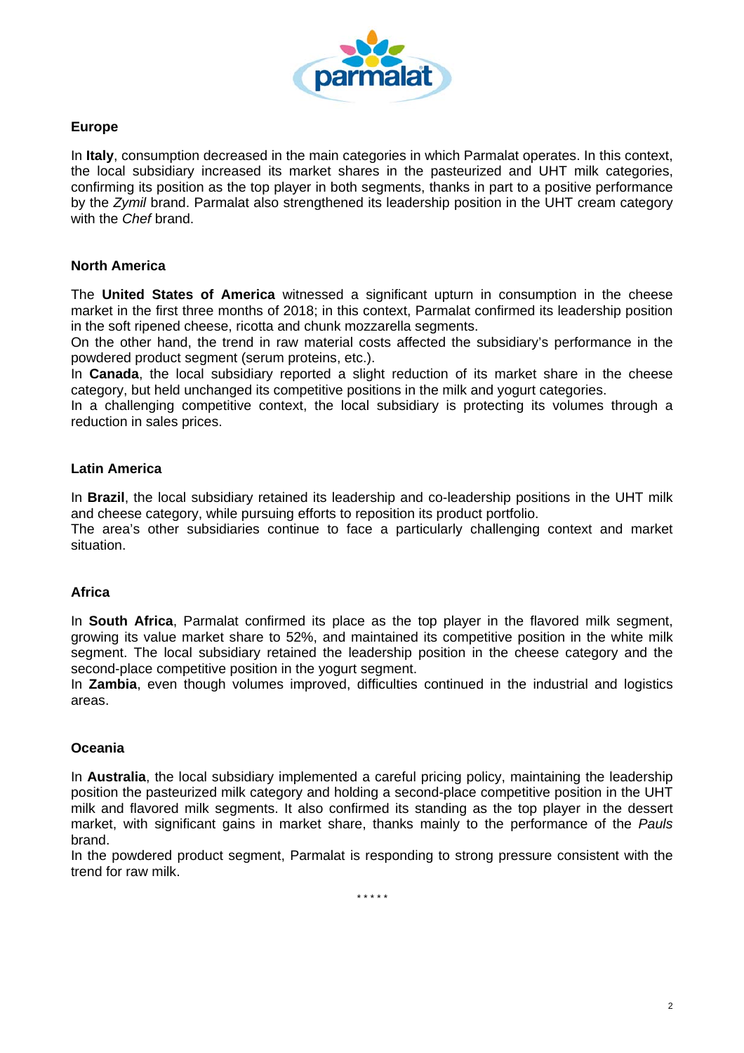

## **Europe**

In **Italy**, consumption decreased in the main categories in which Parmalat operates. In this context, the local subsidiary increased its market shares in the pasteurized and UHT milk categories, confirming its position as the top player in both segments, thanks in part to a positive performance by the *Zymil* brand. Parmalat also strengthened its leadership position in the UHT cream category with the *Chef* brand.

# **North America**

The **United States of America** witnessed a significant upturn in consumption in the cheese market in the first three months of 2018; in this context, Parmalat confirmed its leadership position in the soft ripened cheese, ricotta and chunk mozzarella segments.

On the other hand, the trend in raw material costs affected the subsidiary's performance in the powdered product segment (serum proteins, etc.).

In **Canada**, the local subsidiary reported a slight reduction of its market share in the cheese category, but held unchanged its competitive positions in the milk and yogurt categories.

In a challenging competitive context, the local subsidiary is protecting its volumes through a reduction in sales prices.

## **Latin America**

In **Brazil**, the local subsidiary retained its leadership and co-leadership positions in the UHT milk and cheese category, while pursuing efforts to reposition its product portfolio.

The area's other subsidiaries continue to face a particularly challenging context and market situation.

#### **Africa**

In **South Africa**, Parmalat confirmed its place as the top player in the flavored milk segment, growing its value market share to 52%, and maintained its competitive position in the white milk segment. The local subsidiary retained the leadership position in the cheese category and the second-place competitive position in the yogurt segment.

In **Zambia**, even though volumes improved, difficulties continued in the industrial and logistics areas.

#### **Oceania**

In **Australia**, the local subsidiary implemented a careful pricing policy, maintaining the leadership position the pasteurized milk category and holding a second-place competitive position in the UHT milk and flavored milk segments. It also confirmed its standing as the top player in the dessert market, with significant gains in market share, thanks mainly to the performance of the *Pauls* brand.

In the powdered product segment, Parmalat is responding to strong pressure consistent with the trend for raw milk.

*\* \* \* \* \**